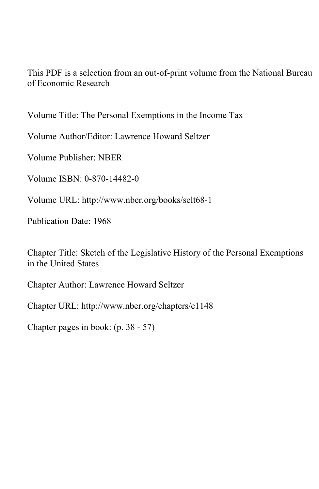This PDF is a selection from an out-of-print volume from the National Bureau of Economic Research

Volume Title: The Personal Exemptions in the Income Tax

Volume Author/Editor: Lawrence Howard Seltzer

Volume Publisher: NBER

Volume ISBN: 0-870-14482-0

Volume URL: http://www.nber.org/books/selt68-1

Publication Date: 1968

Chapter Title: Sketch of the Legislative History of the Personal Exemptions in the United States

Chapter Author: Lawrence Howard Seltzer

Chapter URL: http://www.nber.org/chapters/c1148

Chapter pages in book: (p. 38 - 57)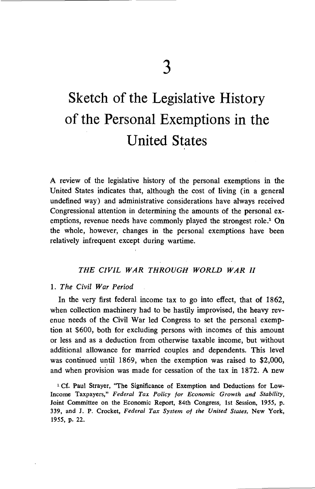# Sketch of the Legislative History of the Personal Exemptions in the United States

A review of the legislative history of the personal exemptions in the United States indicates that, although the cost of living (in a general undefined way) and administrative considerations have always received Congressional attention in determining the amounts of the personal exemptions, revenue needs have commonly played the strongest role.' On the whole, however, changes in the personal exemptions have been relatively infrequent except during wartime.

## THE CIVIL WAR THROUGH WORLD WAR II

#### 1. The Civil War Period

In the very first federal, income tax to go into effect, that of 1862, when collection machinery had to be hastily improvised, the heavy revenue needs of the Civil War led Congress to set the personal exemption at \$600, both for excluding persons with incomes of this amount or less and as a deduction from otherwise taxable income, but without additional allowance for married couples and dependents. This level was continued until 1869, when the exemption was raised to \$2,000, and when provision was made for cessation of the tax in 1872. A new

'Cf. Paul Strayer, "The Significance of Exemption and Deductions for Low-Income Taxpayers," Federal Tax Policy for Economic Growth and Stability, Joint Committee on the Economic Report, 84th Congress, 1st Session, 1955, p. 339, and J. P. Crocket, Federal Tax System of the United States, New York, 1955, p. 22.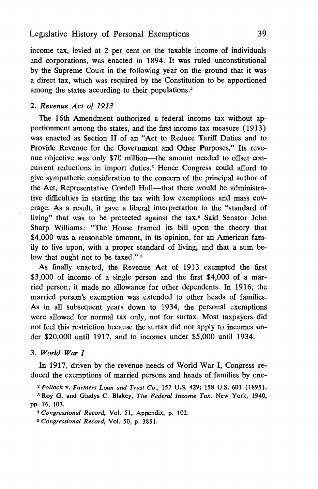income tax, levied at 2 per cent on the taxable income of individuals and corporations, was enacted in 1894. It was ruled unconstitutional by the Supreme Court in the following year on the ground that it was a direct tax, which was required by the Constitution to be apportioned among the states according to their populations.<sup>2</sup>

#### 2. Revenue Act of 1913

The 16th Amendment authorized a federal income tax without apportionment among the states, and the first income tax measure (1913) was enacted as Section II of an "Act to Reduce Tariff Duties and to Provide Revenue for the Government and Other Purposes." Its revenue objective was only \$70 million—the amount needed to offset concurrent reductions in import duties.3 Hence Congress could afford to give sympathetic consideration to the concern of the principal author of the Act, Representative Cordell Hull—that there would be administrative difficulties in starting the tax with low exemptions and mass coverage. As a result, it gave a liberal interpretation to the "standard of living" that was to be protected against the tax.<sup>4</sup> Said Senator John Sharp Williams: "The House framed its bill upon the theory that \$4,000 was a reasonable amount, in its opinion, for an American family to live upon, with a proper standard of living, and that a sum below that ought not to be taxed."<sup>5</sup>

As finally enacted, the Revenue Act of 1913 exempted the first \$3,000 of income of a single person and the first \$4,000 of a married person; it made no allowance for other dependents. In 1916, the married person's exemption was extended to other heads of families. As in all subsequent years down to 1934, the personal exemptions were allowed for normal tax only, not for surtax. Most taxpayers did not feel this restriction because the surtax did not apply to incomes under \$20,000 until 1917, and to incomes under \$5,000 until 1934.

3. World War I

In 1917, driven by the revenue needs of World War I, Congress reduced the exemptions of married persons and heads of families by one-

2 Pollock v. Farmers Loan and Trust Co., 157 U.S. 429; 158 U.S. 601 (1895).

3 Roy G. and Gladys C. Blakey, The Federal Income Tax, New York, 1940, pp. 76, 103.

4Congressional Record, Vol. 51, Appendix, p. 102.

5 Congressional Record, Vol. 50, p. 3851.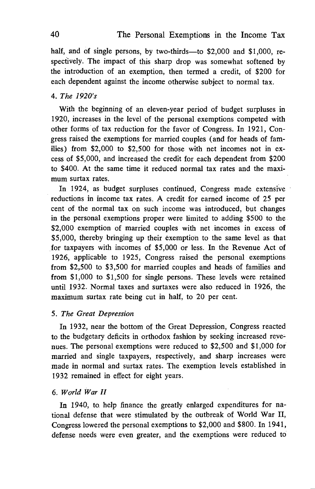half, and of single persons, by two-thirds—to \$2,000 and \$1,000, respectively. The impact of this sharp drop was somewhat softened by the introduction of an exemption, then termed a credit, of \$200 for each dependent against the income otherwise subject to normal tax.

# 4. The 1920's

With the beginning of an eleven-year period of budget surpluses in 1920, increases in the level of the personal exemptions competed with other forms of tax reduction for the favor of Congress. In 1921, Congress raised the exemptions for married couples (and for heads of families) from \$2,000 to \$2,500 for those with net incomes not in excess of \$5,000, and increased the credit for each dependent from \$200 to \$400. At the same time it reduced normal tax rates and the maximum surtax rates.

In 1924, as budget surpluses continued, Congress made extensive reductions in income tax rates. A credit for earned income of 25 per cent of the normal tax on such income was introduced, but changes in the personal exemptions proper were limited to adding \$500 to the \$2,000 exemption of married couples with net incomes in excess of \$5,000, thereby bringing up their exemption to the same level as that for taxpayers with incomes of \$5,000 or less. In the Revenue Act of 1926, applicable to 1925, Congress raised the personal exemptions from \$2,500 to \$3,500 for married couples and heads of families and from \$1,000 to \$1,500 for single persons. These levels were retained until 1932. Normal taxes and surtaxes were also reduced in 1926, the maximum surtax rate being cut in half, to 20 per cent.

#### 5. The Great Depression

In 1932, near the bottom of the Great Depression, Congress reacted to the budgetary deficits in orthodox fashion by seeking increased nues. The personal exemptions were reduced to \$2,500 and \$1,000 for married and single taxpayers, respectively, and sharp increases were made in normal and surtax rates. The exemption levels established in 1932 remained in effect for eight years.

#### 6. World War II

In 1940, to. help finance the greatly enlarged expenditures for national defense that were stimulated by the outbreak of World War II, Congress lowered the personal exemptions to \$2,000 and \$800. In 1941, defense needs were even greater, and the exemptions were reduced to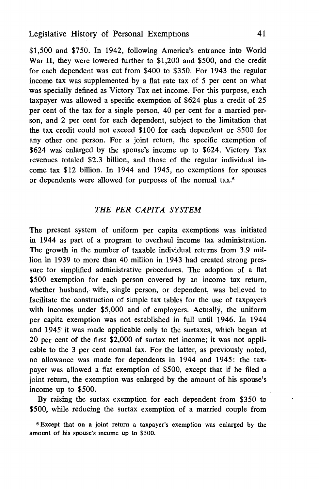\$1,500 and \$750. In 1942, following America's entrance into World War II, they were lowered further to \$1,200 and \$500, and the credit for each dependent was cut from \$400 to \$350. For 1943 the regular income tax was supplemented by a flat rate tax of 5 per cent on what was specially defined as Victory Tax net income. For this purpose, each taxpayer was allowed a specific exemption of \$624 plus a credit of 25 per cent of the tax for a single person, 40 per cent for a married person, and 2 per cent for each dependent, subject to the limitation that the tax credit could not exceed \$100 for each dependent or \$500 for any other one person. For a joint return, the specific exemption of \$624 was enlarged by the spouse's income up to \$624. Victory Tax revenues totaled \$2.3 billion, and those of the regular individual income tax \$12 billion. In 1944 and 1945, no exemptions for spouses or dependents were allowed for purposes of the normal tax.°

#### THE PER CAPITA SYSTEM

The present system of uniform per capita exemptions was initiated in 1944 as part of a program to overhaul income tax administration. The growth in the number of taxable individual returns from 3.9 million in 1939 to more than 40 million in 1943 had created strong pressure for simplified administrative procedures. The adoption of a flat \$500 exemption for each person covered by an income tax return, whether husband, wife, single person, or dependent, was believed to facilitate the construction of simple tax tables for the use of taxpayers with incomes under \$5,000 and of employers. Actually, the uniform per capita exemption was not established in full until 1946. In 1944 and 1945 it was made applicable only to the surtaxes, which began at 20 per cent of the first \$2,000 of surtax net income; it was not applicable to the 3 per cent normal tax. For the latter, as previously noted, no allowance was made for dependents in 1944 and 1945: the taxpayer was allowed a flat exemption of \$500, except that if he filed a joint return, the exemption was enlarged by the amount of his spouse's income up to \$500.

By raising the surtax exemption for each dependent from \$350 to \$500, while reducing the surtax exemption of a married couple from

<sup>6</sup> Except that on a joint return a taxpayer's exemption was enlarged by the amount of his spouse's income up to \$500.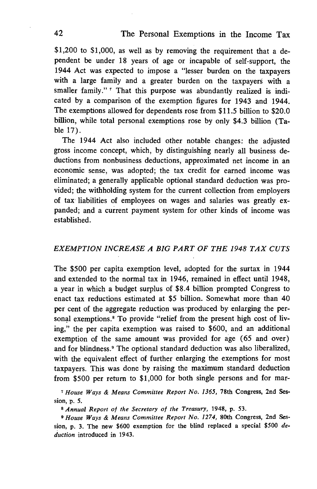\$1,200 to \$1,000, as well as by removing the requirement that a dependent be under 18 years of age or incapable of self-support, the 1944 Act was expected to impose a "lesser burden on the taxpayers with a large family and a greater burden on the taxpayers with a smaller family."<sup>7</sup> That this purpose was abundantly realized is indicated by a comparison of the exemption figures for 1943 and 1944. The exemptions allowed for dependents rose from \$11.5 billion to \$20.0 billion, while total personal exemptions rose by only \$4.3 billion (Table 17).

The 1944 Act also included other notable changes: the adjusted gross income concept, which, by distinguishing nearly all business deductions from nonbusiness deductions, approximated net income in an economic sense, was adopted; the tax credit for earned income was eliminated; a generally applicable optional standard deduction was provided; the withholding system for the current collection from employers of tax liabilities of employees on wages and salaries was greatly expanded; and a current payment system for other kinds of income was established.

## EXEMPTION INCREASE A BIG PART OF THE 1948 TAX CUTS

The \$500 per capita exemption level, adopted for the surtax in 1944 and extended to the normal tax in 1946, remained in effect until 1948, a year in which a budget surplus of \$8.4 billion prompted Congress to enact tax reductions estimated at \$5 billion. Somewhat more than 40 per cent of the aggregate reduction was produced by enlarging the personal exemptions.<sup>8</sup> To provide "relief from the present high cost of living," the per capita exemption was raised to \$600, and an additional exemption of the same amount was provided for age  $(65 \text{ and over})$ and for blindness.9 The optional standard deduction was also liberalized, with the equivalent effect of further enlarging the exemptions for most taxpayers. This was done by raising the maximum standard deduction from \$500 per return to \$1,000 for both single persons and for mar-

<sup>7</sup> House Ways & Means Committee Report No. 1365, 78th Congress, 2nd Session, p. 5.

<sup>8</sup> Annual Report of the Secretary of the Treasury, 1948, p. 53.

<sup>9</sup> House Ways & Means Committee Report No. 1274, 80th Congress, 2nd Session, p. 3. The new  $$600$  exemption for the blind replaced a special  $$500$  deduction introduced in 1943.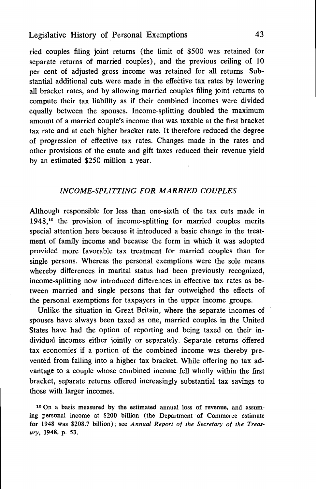# Legislative History of Personal Exemptions 43

ried couples filing joint returns (the limit of \$500 was retained for separate returns of married couples), and the previous ceiling of 10 per cent of adjusted gross income was retained for all returns. Substantial additional cuts were made in the effeëtive tax rates by lowering all bracket rates, and by allowing married couples ffling joint returns to compute their tax liability as if their combined incomes were divided equally between the spouses. Income-splitting doubled the maximum amount of a married couple's income that was taxable at the first bracket tax rate and at each higher bracket rate. It therefore reduced the degree of progression of effective tax rates. Changes made in the rates and other provisions of the estate and gift taxes reduced their revenue yield by an estimated \$250 million a year.

#### INCOME-SPLITTING FOR MARRIED COUPLES

Although responsible for less than one-sixth of the tax cuts made in  $1948<sup>10</sup>$  the provision of income-splitting for married couples merits special attention here because it introduced a basic change in the treatment of family income and because the form in which it was adopted provided more favorable tax treatment for married couples than for single persons. Whereas the personal exemptions were the sole means whereby differences in marital status had been previously recognized, income-splitting now introduced differences in effective tax rates as between married and single persons that far outweighed the effects of the personal exemptions for taxpayers in the upper income groups.

Unlike the situation in Great Britain, where the separate incomes of spouses have always been taxed as one, married couples in the United States have had the option of reporting and being taxed on their individual incomes either jointly or separately. Separate returns offered tax economies if a portion of the combined income was thereby prevented from falling into a higher tax bracket. While offering no tax advantage to a couple whose combined income fell wholly within the first bracket, separate returns offered increasingly substantial tax savings to those with larger incomes.

<sup>10</sup> On a basis measured by the estimated annual loss of revenue, and assuming personal income at \$200 billion (the Department 'of Commerce estimate for 1948 was \$208.7 billion); see Annual Report of the Secretary of the Treasury, 1948, p. 53.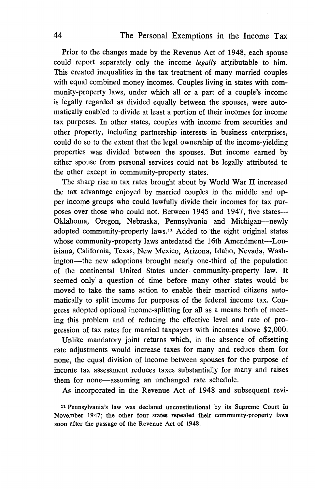Prior to the changes made by the Revenue Act of 1948, each spouse could report separately only the income legally attributable to him. This created inequalities in the tax treatment of many married couples with equal combined money incomes. Couples living in states with community-property laws, under which all or a part of a couple's income is legally regarded as divided equally between the spouses, were automatically enabled to divide at least a portion of their incomes for income tax purposes. In other states, couples with income from securities and other property, including partnership interests in business enterprises, could do so to the extent that the legal ownership of the income-yielding properties was divided between the spouses. But income earned by either spouse from personal services could not be. legally attributed to the other except in community-property states.

The sharp rise in tax rates brought about by World War II increased the tax advantage enjoyed by married couples in the middle and upper income groups who could lawfully divide their incomes for tax purposes over those who could not. Between 1945 and 1947, five states— Oklahoma, Oregon, Nebraska, Pennsylvania and Michigan—newly adopted community-property laws.11 Added to the eight original states whose community-property laws antedated the 16th Amendment—Louisiana, California, Texas, New Mexico, Arizona, Idaho, Nevada, Washington—the new adoptions brought nearly one-third of the population of the continental United States under. community-property law. It seemed only a question of time before many other states would be moved to take the same action to enable their married citizens automatically to split income for purposes of the federal income tax. Congress adopted optional income-splitting for all as a means both of meeting this problem and of reducing the effective level and rate of progression of tax rates for married taxpayers with incomes above \$2,000.

Unlike mandatory joint returns which, in the absence of offsetting rate adjustments would increase taxes for many and reduce them for none, the equal division of income between spouses for the purpose of income tax assessment reduces taxes substantially for many and raises them for none—assuming an unchanged rate schedule.

As incorporated in the Revenue Act of 1948 and subsequent revi-

<sup>11</sup> Pennsylvania's law was declared unconstitutional by its Supreme Court in November 1947; the other four states repealed their community-property laws soon after the passage of the Revenue Act of 1948.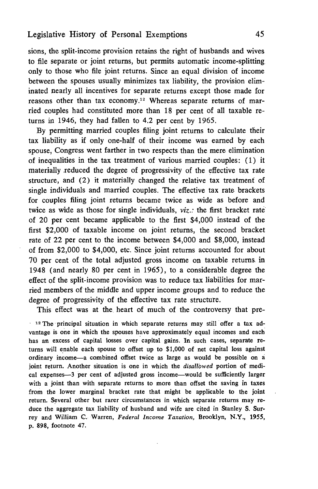sions, the split-income provision retains the right of husbands and wives to file separate or joint returns, but permits automatic income-splitting. only to those who file joint returns. Since an equal division of income between the spouses usually minimizes tax liability, the provision elimmated nearly all incentives for separate returns except those made for reasons other than tax economy.<sup>12</sup> Whereas separate returns of married couples had constituted more than 18 per cent of all taxable returns in 1946, they had fallen to 4.2 per cent by 1965.

By permitting married couples filing joint returns to calculate their tax liability as if only one-half of their income was earned by each spouse, Congress went farther in two respects than the mere elimination of inequalities in the tax treatment of various married couples: (1) it materially zeduced the degree of progressivity of the effective tax rate structure, and (2) it materially changed the relative tax treatment of single individuals and married couples. The effective tax rate brackets for couples filing joint returns became twice as wide as before and twice as wide as those for single individuals, viz.: the first bracket rate' of 20 per cent became applicable to the first \$4,000 instead of the first \$2,000 of taxable income on joint returns, the second bracket rate of 22 per cent to the income between \$4,000 and \$8,000, instead of from \$2,000 to \$4,000, etc. Since joint returns accounted for about 70 per cent of the total adjusted gross income on taxable returns, in 1948 (and nearly 80 per cent in 1965), to a considerable degree the effect of the split-income provision was to reduce tax liabilities for married members of the middle and upper income groups and to reduce the degree of progressivity of the effective tax rate structure.

This effect was at the, heart of much of the controversy that pre-

 $\cdot$  <sup>12</sup> The principal situation in which separate returns may still offer a tax advantage is one in which the spouses have approximately equal incomes and each has an excess of capital losses over capital gains. In such cases, separate returns will enable each spouse to offset up to \$1,000 of net capital loss against ordinary income—a combined offset twice as large as would be possible on joint return. Another situation is one in which the *disallowed* portion of medical expenses—3 per cent of adjusted gross income—would be sufficiently larger with a joint than with separate returns to more than offset the saving in taxes from the lower marginal bracket rate that might be applicable to the joint return. Several other but rarer circumstances in which separate returns may reduce the aggregate tax liability of husband and wife are cited in Stanley S. Surrey and William C. Warren, Federal Income Taxation, Brooklyn, N.Y., 1955, p. 898, footnote 47.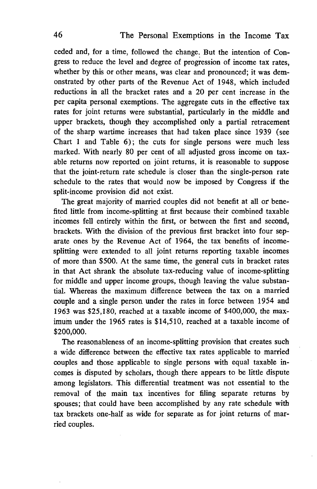ceded and, for a time, followed the change. But the intention of Congress to reduce the level and degree of progression of income tax rates, whether by this or other means, was clear and pronounced; it was demonstrated by other parts of the Revenue Act of 1948, which included reductions in all the bracket rates and a 20 per cent increase in the per capita personal exemptions. The aggregate cuts in the effective tax rates for joint returns were substantial, particularly in the middle and upper brackets, though they accomplished only a partial retracement of the sharp wartime increases that had taken place since 1939 (see Chart 1 and Table 6); the cuts for single persons were much less marked. With nearly 80 per cent of all adjusted gross income on taxable returns now reported on joint returns, it is reasonable to suppose that the joint-return rate schedule is closer than the single-person rate schedule to the rates that would now be imposed by Congress if the split-income provision did not exist.

The great majority of married couples did not benefit at all or benefited little from income-splitting at first because their combined taxable incomes fell entirely within the first, or between the first and second, brackets. With the division of the previous first bracket into four separate ones by the Revenue Act of 1964, the tax benefits of incomesplitting were extended to all joint returns reporting taxable incomes of more than \$500. At the same time, the general cuts in bracket rates in that Act shrank the absolute tax-reducing value of income-splitting for middle and upper income groups, though leaving the value substantiaL Whereas the maximum difference between the tax on a married couple and a single person under the rates in force between 1954 and 1963 was \$25,180, reached at a taxable income of \$400,000, the maximum under the 1965 rates is \$14,510, reached at a taxable income of \$200,000.

The reasonableness of an income-splitting provision that creates such a wide difference between the effective tax rates applicable to married couples and those applicable to single persons with equal taxable incomes is disputed by scholars, though there appears to be little dispute among legislators. This differential treatment was not essential to the removal of the main tax incentives for filing separate returns by spouses; that could have been accomplished by any rate schedule with tax brackets one-half as wide for separate as for joint returns of married couples.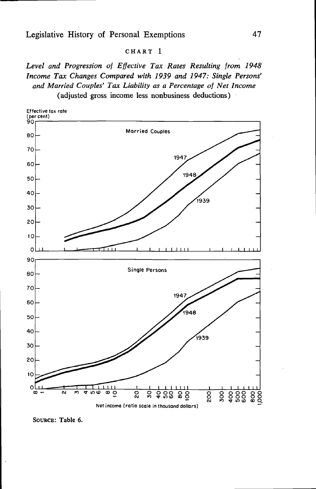#### CHART 1

Level and Progression of Effective Tax Rates Resulting from. 1948 Income Tax Changes Compared with 1939 and 1947: Single Persons' and Married Couples' Tax Liability as a Percentage of Net Income (adjusted gross income less nonbusiness deductions)



SouRcE: Table 6.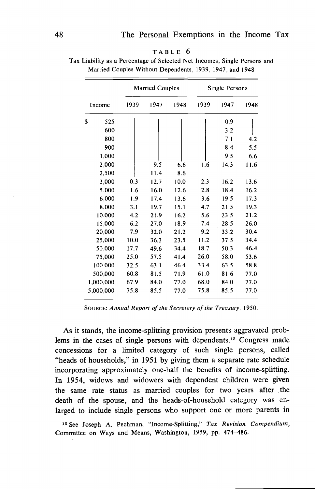| Income    | Married Couples |      |      | Single Persons |      |      |
|-----------|-----------------|------|------|----------------|------|------|
|           | 1939            | 1947 | 1948 | 1939           | 1947 | 1948 |
| \$<br>525 |                 |      |      |                | 0.9  |      |
| 600       |                 |      |      |                | 3.2  |      |
| 800       |                 |      |      |                | 7.1  | 4.2  |
| 900       |                 |      |      |                | 8.4  | 5.5  |
| 1,000     |                 |      |      |                | 9.5  | 6.6  |
| 2,000     |                 | 9.5  | 6.6  | 1.6            | 14.3 | 11.6 |
| 2,500     |                 | 11.4 | 8.6  |                |      |      |
| 3,000     | 0.3             | 12.7 | 10.0 | 2.3            | 16.2 | 13.6 |
| 5,000     | 1.6             | 16.0 | 12.6 | 2.8            | 18.4 | 16.2 |
| 6,000     | 1.9             | 17.4 | 13.6 | 3.6            | 19.5 | 17.3 |
| 8,000     | 3.1             | 19.7 | 15.1 | 4.7            | 21.5 | 19.3 |
| 10,000    | 4.2             | 21.9 | 16.2 | 5.6            | 23.5 | 21.2 |
| 15,000    | 6.2             | 27.0 | 18.9 | 7.4            | 28.5 | 26.0 |
| 20,000    | 7.9             | 32.0 | 21.2 | 9.2            | 33.2 | 30.4 |
| 25,000    | 10.0            | 36.3 | 23.5 | 11.2           | 37.5 | 34.4 |
| 50,000    | 17.7            | 49.6 | 34.4 | 18.7           | 50.3 | 46.4 |
| 75,000    | 25.0            | 57.5 | 41.4 | 26.0           | 58.0 | 53.6 |
| 100,000   | 32.5            | 63.1 | 46.4 | 33.4           | 63.5 | 58.8 |
| 500,000   | 60.8            | 81.5 | 71.9 | 61.0           | 81.6 | 77.0 |
| 1,000,000 | 67.9            | 84.0 | 77.0 | 68.0           | 84.0 | 77.0 |
| 5,000,000 | 75.8            | 85.5 | 77.0 | 75.8           | 85.5 | 77.0 |

TABLE 6 Tax Liability as a Percentage of Selected Net Incomes, Single Persons and Married Couples Without Dependents, 1939, 1947, and 1948

SOURCE: Annual Report of the Secretary of the Treasury, 1950.

As it stands, the income-splitting provision presents aggravated problems in the cases of single persons with dependents.<sup>13</sup> Congress made concessions for a limited category of such single persons, called "heads of households," in 1951 by giving them a separate rate schedule incorporating approximately one-half the benefits of income-splitting. In 1954, widows and widowers with dependent children were given the same rate status as married couples for two years after the death of the spouse, and the heads-of-household category was enlarged to include single persons who support one or more parents in

<sup>13</sup> See Joseph A. Pechman, "Income-Splitting," Tax Revision Compendium, Committee on Ways and Means, Washington, 1959, pp. 474—486.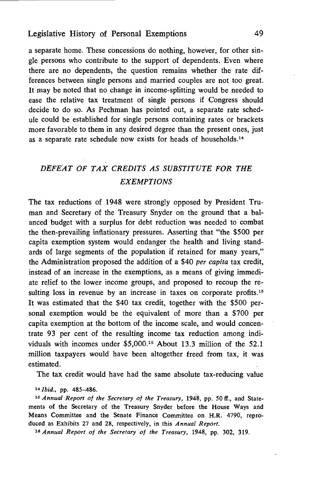a separate home. These concessions do nothing, however, for other gle persons who contribute to the support of dependents. Even where there are no dependents, the question remains whether the rate differences between single persons and married couples are not too great. It may be noted that no change in income-splitting would be needed to ease the relative tax treatment of single persons if Congress should decide to do so. As Pechman has pointed out, a separate rate schedule could be established for single persons containing rates or brackets more favorable to them in any desired degree than the present ones, just as a separate rate schedule now exists for heads of households.14

# DEFEAT OF TAX CREDITS AS SUBSTITUTE FOR THE **EXEMPTIONS**

The tax reductions of 1948 were strongly opposed by President. Truman and Secretary of the Treasury Snyder on the ground that a balanced budget with a surplus for debt reduction was needed to combat the then—prevailing inflationary pressures. Asserting that "the \$500 per capita exemption system would endanger the health and living standards of large segments of the population if retained for many years," the Administration proposed the addition of a \$40 per capita tax credit, instead of an increase in the exemptions, as a means of giving immediate relief to the lower income groups, and proposed to recoup the resulting loss in revenue by an increase in taxes on corporate profits.<sup>15</sup> It was estimated that the \$40 tax credit, together with the \$500 personal exemption would be the equivalent of more than a \$700 per capita exemption at the bottom of the income scale, and would concentrate 93 per cent of the resulting income tax reduction among individuals with incomes under \$5,000.16 About 13.3 million of the 52.1 million taxpayers would have been altogether freed from tax, it was estimated.

The tax credit would have had the same absolute tax-reducing value

14 Ibid., pp. 485—486.

<sup>15</sup> Annual Report of the Secretary of the Treasury, 1948, pp. 50 ff., and Statements of the Secretary of the Treasury Snyder before the House Ways and Means Committee and the Senate Finance Committee on H.R. 4790, reproduced as Exhibits 27 and 28, respectively, in this Annual Report.

16 Annual Report of the Secretary of the Treasury, 1948, pp. 302, 319.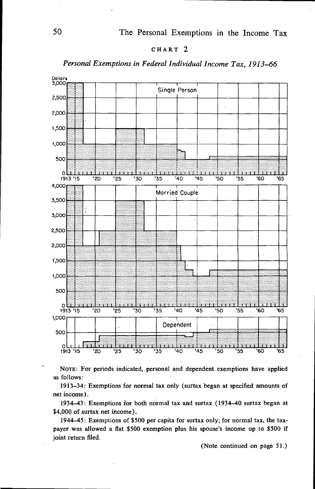

#### Personal Exemptions in Federal Individual Income Tax, 1913—66



NoTE: For periods indicated, personal and dependent exemptions have applied as follows:

1913—34: Exemptions for normal tax only (surtax began at specified amounts of net income).

1934—43: Exemptions for both normal tax and surtax (1934—40 surtax began at \$4,000 of surtax net income).

1944—45: Exemptions of \$500 per capita for surtax only; for normal tax, the taxpayer was allowed a flat \$500 exemption plus his spouse's income up to \$500 if joint return filed.

(Note continued on page 51.)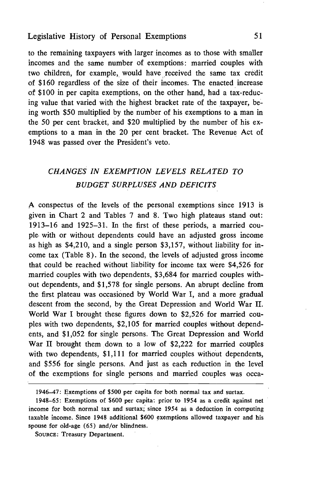#### Legislative History of Personal Exemptions 51

to the remaining taxpayers with larger incomes as to those with smaller incomes and the same number of exemptions: married couples with two children, for example, would have received the same tax credit of \$160 regardless of the size of their of \$100 in per capita exemptions, on the other hand, had a tax-reducing value that varied with the highest bracket rate of the taxpayer, ing worth \$50 multiplied by the number of his. exemptions to a man in the 50 per cent bracket, and \$20 multiplied by the number of his exemptions to a man in the 20 per cent bracket. The Revenue Act of 1948 was passed over the President's veto.

# CHANGES IN EXEMPTION LEVELS RELATED TO BUDGET SURPLUSES AND DEFICITS

A conspectus of the levels of the personal exemptions since 1913 is given in Chart 2 and Tables 7 and 8. Two high plateaus stand out: 1913—16 and 1925—31.. In the first of these periods, a married couple. with or without dependents could have an adjusted gross income as high as \$4,210, and a single person \$3,157, without liability for income tax (Table 8). In the second, the levels of adjusted gross income that could be reached without liability for income tax were \$4,526 for married couples with two dependents, \$3,684 for married couples without dependents, and \$1,578 for single persons. An abrupt decline from the first plateau was occasioned by World War I, and a more gradual descent from the second, by the Great Depression and World War II. World War I brought these figures down to \$2,526 for married couples with two dependents, \$2,105 for married couples without dependents, and \$1,052 for single persons. The Great Depression and World War II brought them down to a low of \$2,222 for married couples with two dependents, \$1,111 for married couples without dependents, and \$556 for single persons. And just as each reduction in the level of the exemptions for single persons and married couples was occa-

<sup>1946—47:</sup> Exemptions of \$500 per capita for both normal tax and surtax.

<sup>1948—65:</sup> Exemptions of \$600 per capita: prior to 1954 as a credit against net income for both normal tax and surtax; since 1954 as a deduction in computing taxable income. Since 1948 additional \$600 exemptions allowed taxpayer and his spouse for old-age (65) and/or blindness.

SOURCE: Treasury Department.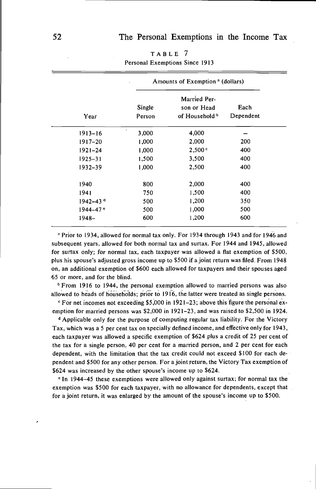|                          | Amounts of Exemption <sup>a</sup> (dollars) |                |           |  |  |  |
|--------------------------|---------------------------------------------|----------------|-----------|--|--|--|
| Married Per-             |                                             |                |           |  |  |  |
|                          | Single                                      | son or Head    | Each      |  |  |  |
| Year                     | Person                                      | of Household b | Dependent |  |  |  |
| $1913 - 16$              | 3,000                                       | 4,000          |           |  |  |  |
| $1917 - 20$              | 1,000                                       | 2,000          | 200       |  |  |  |
| $1921 - 24$              | 1,000                                       | 2,500 °        | 400       |  |  |  |
| $1925 - 31$              | 1,500                                       | 3,500          | 400       |  |  |  |
| 1932–39                  | 1,000                                       | 2,500          | 400       |  |  |  |
| 1940                     | 800                                         | 2,000          | 400       |  |  |  |
| 1941                     | 750                                         | 1,500          | 400       |  |  |  |
| $1942 - 43$ <sup>d</sup> | 500                                         | 1,200          | 350       |  |  |  |
| $1944 - 47$ <sup>e</sup> | 500                                         | 1,000          | 500       |  |  |  |
| 1948-                    | 600                                         | 1,200          | 600       |  |  |  |

TABLE 7 Personal Exemptions Since 1913

a Prior to 1934, allowed for normal tax only. For 1934 through 1943 and for 1946 and subsequent years, allowed for both normal tax and surtax. For 1944 and 1945, allowed for surtax only; for normal tax, each taxpayer was allowed a flat exemption of \$500, plus his spouse's adjusted gross income up to \$500 if ajoint return was filed. From 1948 on, an additional exemption of \$600 each allowed for taxpayers and their spouses aged 65 or more, and for the blind.

<sup>b</sup> From 1916 to 1944, the personal exemption allowed to married persons was also allowed to heads of households; prior to 1916, the latter were treated as single persons.

For net incomes not exceeding \$5,000 in 1921–23; above this figure the personal exemption for married persons was \$2,000 in 1921–23, and was raised to \$2,500 in 1924.

<sup>d</sup> Applicable only for the purpose of computing regular tax liability. For the Victory Tax, which was a 5 per cent tax on specially defined income, and effective only for 1943, each taxpayer was allowed a specific exemption of \$624 plus a credit of 25 per cent of the tax for a single person, 40 per cent for a married person, and 2 per cent for each dependent, with the limitation that the tax credit could not exceed \$100 for each dependent and \$500 for any other person. For a joint return, the Victory Tax exemption of \$624 was increased by the other spouse's income up to \$624.

<sup>e</sup> In 1944—45 these exemptions were allowed only against surtax; for normal tax the exemption was \$500 for each taxpayer, with no allowance for dependents, except that for a joint return, it was enlarged by the amount of the spouse's income up to \$500.

/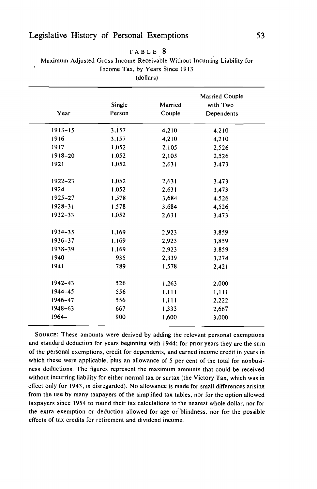# Legislative History of Personal Exemptions 53

| Year                 | Single<br>Person | Married<br>Couple | Married Couple<br>with Two<br>Dependents |  |  |  |
|----------------------|------------------|-------------------|------------------------------------------|--|--|--|
| $1913 - 15$          | 3,157            | 4,210             | 4,210                                    |  |  |  |
| 1916                 | 3,157            | 4,210             | 4,210                                    |  |  |  |
| 1917                 | 1,052            | 2,105             | 2,526                                    |  |  |  |
| $1918 - 20$<br>1,052 |                  | 2,105             | 2,526                                    |  |  |  |
| 1921                 | 1,052            | 2,631             | 3,473                                    |  |  |  |
| $1922 - 23$          | 1,052            | 2,631             | 3,473                                    |  |  |  |
| 1924                 | 1,052            | 2,631             | 3,473                                    |  |  |  |
| $1925 - 27$          | 1,578            | 3,684             | 4,526                                    |  |  |  |
| $1928 - 31$          | 1,578            | 3,684             | 4,526                                    |  |  |  |
| $1932 - 33$          | 1,052            | 2,631             | 3,473                                    |  |  |  |
| $1934 - 35$          | 1,169            | 2,923             | 3,859                                    |  |  |  |
| $1936 - 37$          | 1,169            | 2,923             | 3,859                                    |  |  |  |
| 1938-39              | 1,169            | 2,923             | 3,859                                    |  |  |  |
| 1940                 | 935              |                   | 3,274                                    |  |  |  |
| 1941                 | 789              | 1,578             | 2,421                                    |  |  |  |
| $1942 - 43$          | 526              | 1,263             | 2,000                                    |  |  |  |
| 1944-45              | 556              | 1,111             | 1,111                                    |  |  |  |
| 1946-47              | 556              | 1,111             | 2,222                                    |  |  |  |
| $1948 - 63$          | 667              | 1,333             | 2,667                                    |  |  |  |
| $1964 -$             | 900              | 1,600             | 3,000                                    |  |  |  |

#### TABLE <sup>8</sup>

Maximum Adjusted Gross income Receivable Without Incurring Liability for Income Tax, by Years Since 19113

SOURCE: These amounts were derived by adding the relevant personal exemptions and standard deduction for years beginning with 1944; for prior years they are the sum of the personal exemptions, credit for dependents, and earned income credit in years in which these were applicable, plus an allowance of 5 per cent of the total for nonbusiness deductions. The figures represent the maximum amounts that could be received without incurring liability for either normal tax or surtax (the Victory Tax, which was in effect only for 1943, is disregarded). No allowance is made for small differences arising from the use by many taxpayers of the simplified tax tables, nor for the option allowed taxpayers since 1954 to round their tax calculations to the nearest whole dollar, nor for the extra exemption or deduction allowed for age or blindness, nor for the possible effects of tax credits for retirement and dividend income.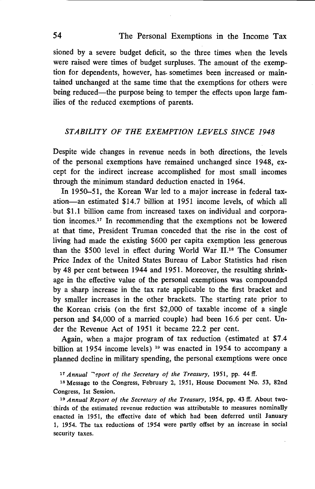sioned by a severe budget deficit, so the three times when the levels were raised were times of budget surpluses. The amount of the exemption for dependents, however, has. sometimes been increased or maintained unchanged at the same time that the exemptions for others were being reduced—the purpose being to temper the effects upon large families of the reduced exemptions of parents.

#### STABILiTY OF THE EXEMPTION LEVELS SINCE 1948

Despite wide changes in revenue needs in both directions, the levels of the personal exemptions have remained unchanged since 1948, except for the indirect increase accomplished for most small incomes through the minimum standard deduction enacted in 1964.

In 1950—51, the Korean War led to a major increase in federal taxation—an estimated \$14.7 billion at 1951 income levels, of which all but \$1.1 billion came from increased taxes on individual and corporation incomes.<sup>17</sup> In recommending that the exemptions not be lowered at that time, President Truman conceded that the rise in the cost of living had made the existing \$600 per capita exemption less generous than the \$500 level in effect during World War  $II$ <sup>18</sup>. The Consumer Price Index of the United States Bureau of Labor Statistics had risen by 48 per cent between 1944 and 1951. Moreover, the resulting shrinkage in the effective value of the personal exemptions was compounded by a sharp increase in the tax rate applicable to the first bracket and by smaller increases in the other brackets. The starting rate prior to the Korean crisis (on the first \$2,000 of taxable income of a single person and \$4,000 of a married couple) had been 16.6 per cent. Under the Revenue Act of 1951 it became 22.2 per cent.

Again, when a major program of tax reduction (estimated at \$7.4 billion at 1954 income levels) <sup>19</sup> was enacted in 1954 to accompany a planned decline in military spending, the personal exemptions were once

 $17$  Annual "eport of the Secretary of the Treasury, 1951, pp. 44 ff.

<sup>18</sup> Message to the Congress, February 2, 1951, House Document No. 53, 82nd Congress, 1st Session.

<sup>19</sup> Annual Report of the Secretary of the Treasury, 1954, pp. 43 ff. About twothirds of the estimated revenue reduction was attributable to measures nominally enacted in 1951, the effective date of which had been deferred until January 1, 1954. The tax reductions of 1954 were partly offset by an increase in social security taxes.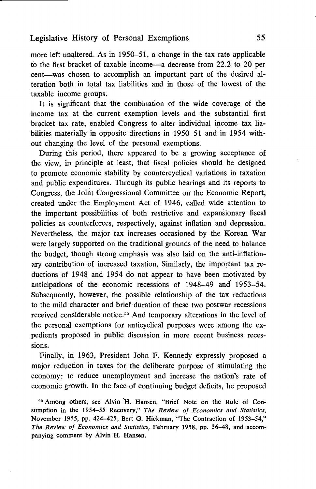# Legislative History of Personal Exemptions 55

more left unaltered. As in 1950—51, a change in the tax rate applicable to the first bracket of taxable income—a decrease from 22.2 to 20 per cent—was chosen to accomplish an important part of the desired alteration both in total tax liabilities and in those of the lowest of the taxable income groups.

It is significant that the combination of the wide coverage of the income tax at the current exemption levels and the substantial first bracket tax rate, enabled Congress to alter individual income tax liabilities materially in opposite directions in 1950—51 and in 1954 without changing the level of the personal exemptions.

During this period, there appeared to be a growing acceptance of the view, in principle at least, that fiscal policies should be designed to promote economic stability by countercyclical variations in taxation and public expenditures. Through its public hearings and its reports to Congress, the Joint Congressional Committee on the Economic Report, created under the Employment Act of 1946, called wide attention to the important possibilities of both restrictive and expansionary fiscal policies as counterforces, respectively, against inflation and depression. Nevertheless, the major tax increases occasioned by the Korean War were largely supported on the traditional grounds of the need to balance the budget, though strong emphasis was also laid on the anti-inflationary contribution of increased taxation. Similarly, the important tax reductions of 1948 and 1954 do not appear to have been motivated by anticipations of the economic recessions of 1948—49 and 1953—54. Subsequently, however, the possible relationship of the tax reductions to the mild character and brief duration of these two postwar recessions received considerable notice.20 And temporary alterations in the level of the personal exemptions for anticyclical purposes were among the expedients proposed in public discussion in more recent business recessions.

Finally, in 1963, President John F. Kennedy expressly proposed a major reduction in taxes for the deliberate purpose of stimulating the economy: to reduce unemployment and increase the nation's rate of economic growth. In the face of continuing budget deficits, he proposed

<sup>20</sup> Among others, see Alvin H. Hansen, "Brief Note on the Role of Consumption in the 1954-55 Recovery," The Review of Economics and Statistics, November 1955, pp. 424—425; Bert G. Hickman, "The Contraction of 1953—54," The Review of Economics and Statistics, February 1958, pp. 36—48, and accompanying comment by Alvin H. Hansen.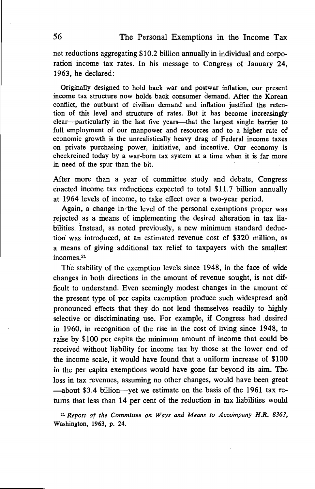net reductions aggregating \$10.2 billion annually in individual and corporation income tax rates. In his message to Congress of January 24, 1963, he declared:

Originally designed to hold back war and postwar inflation, our present income tax structure now holds back consumer demand. After the Korean conflict, the outburst of civilian demand and inflation justified the retention of this level and structure of rates. But it has become increasingly clear—particularly in the last five years—that the largest single barrier to full employment of our manpower and resources and to a higher rate of economic growth is the unrealistically heavy drag of Federal income taxes on private purchasing power, initiative, and incentive. Our economy is checkreined today by a war-born tax system at a time when it is far more in need of the spur than the bit.

After more than a year of committee study and debate, Congress enacted income tax reductions expected to total \$11.7 billion annually at 1964 levels of income, to take effect over a two-year period.

Again, a change in the level of the personal exemptions proper was rejected as a means of implementing the desired alteration in tax liabilities. Instead, as noted previously, a new minimum standard deduction was introduced, at an estimated revenue cost of \$320 million, as a means of giving additional tax relief to taxpayers with the smallest incomes.<sup>21</sup>

The stability of the exemption levels since 1948, in the face of wide changes in both directions in the amount of revenue sought, is not difficult to understand. Even seemingly modest changes in the amount of the present type of per capita exemption produce such widespread and pronounced effects that they do not lend themselves readily to highly selective or discriminating use. For example, if Congress had desired in 1960, in recognition of the rise in the cost of living since 1948, to raise by \$100 per capita the minimum amount of income that could be received without liability for income tax by those at the lower end of the income scale, it would have found that a uniform increase of \$100 in the per capita exemptions would have gone far beyond its aim. The loss in tax revenues, assuming no other changes, would have been great —about \$3.4 billion—yet we estimate on the basis of the 1961 tax returns that less than 14 per. cent of the reduction in tax liabilities would

<sup>21</sup> Report of the Committee on Ways and Means to Accompany H.R. 8363, Washington, 1963, p. 24.